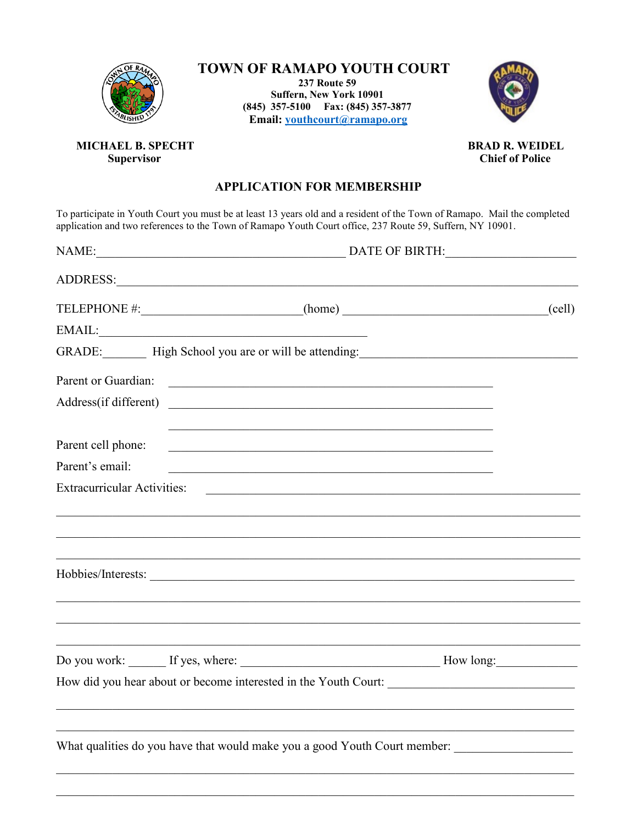

## TOWN OF RAMAPO YOUTH COURT

**237 Route 59** Suffern, New York 10901 (845) 357-5100 Fax: (845) 357-3877 Email: youthcourt@ramapo.org



MICHAEL B. SPECHT **Supervisor** 

**BRAD R. WEIDEL Chief of Police** 

## **APPLICATION FOR MEMBERSHIP**

To participate in Youth Court you must be at least 13 years old and a resident of the Town of Ramapo. Mail the completed application and two references to the Town of Ramapo Youth Court office, 237 Route 59, Suffern, NY 10

|                    | NAME: DATE OF BIRTH:                                                                                                                                                                                                           |                 |  |
|--------------------|--------------------------------------------------------------------------------------------------------------------------------------------------------------------------------------------------------------------------------|-----------------|--|
|                    |                                                                                                                                                                                                                                |                 |  |
|                    |                                                                                                                                                                                                                                | $\text{(cell)}$ |  |
|                    | EMAIL: University of the contract of the contract of the contract of the contract of the contract of the contract of the contract of the contract of the contract of the contract of the contract of the contract of the contr |                 |  |
|                    | GRADE: High School you are or will be attending: Night School you are or will be attending:                                                                                                                                    |                 |  |
|                    |                                                                                                                                                                                                                                |                 |  |
|                    | Address(if different)                                                                                                                                                                                                          |                 |  |
| Parent cell phone: | <u> 2000 - Jan James James James James James James James James James James James James James James James James J</u>                                                                                                           |                 |  |
| Parent's email:    | <u> 1989 - Johann Stoff, amerikansk politiker (d. 1989)</u>                                                                                                                                                                    |                 |  |
|                    |                                                                                                                                                                                                                                |                 |  |
|                    |                                                                                                                                                                                                                                |                 |  |
|                    |                                                                                                                                                                                                                                |                 |  |
|                    |                                                                                                                                                                                                                                |                 |  |
|                    |                                                                                                                                                                                                                                |                 |  |
|                    |                                                                                                                                                                                                                                |                 |  |
|                    | and the control of the control of the control of the control of the control of the control of the control of the                                                                                                               |                 |  |
|                    |                                                                                                                                                                                                                                |                 |  |
|                    |                                                                                                                                                                                                                                |                 |  |
|                    | What qualities do you have that would make you a good Youth Court member:                                                                                                                                                      |                 |  |
|                    |                                                                                                                                                                                                                                |                 |  |